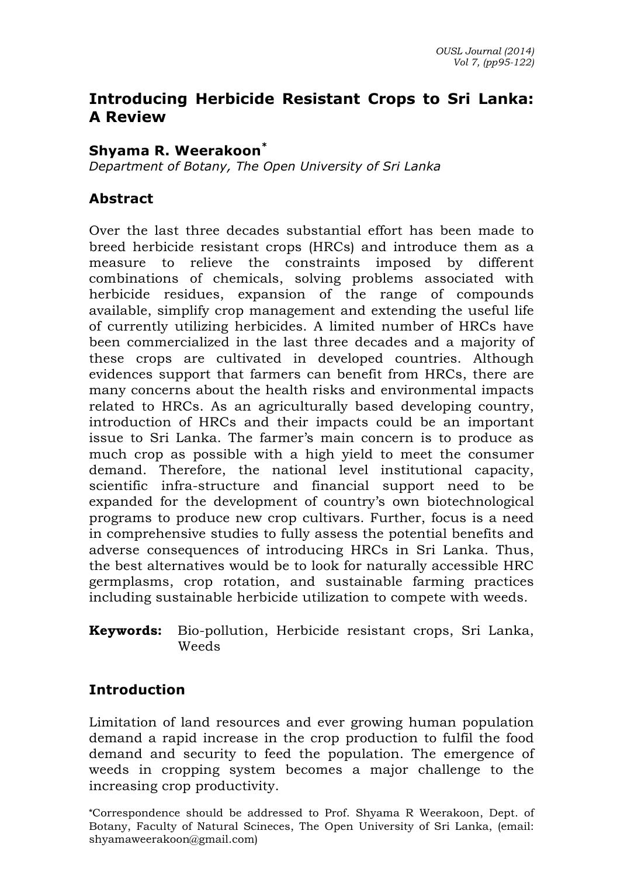# **Introducing Herbicide Resistant Crops to Sri Lanka: A Review**

#### **Shyama R. Weerakoon\***

*Department of Botany, The Open University of Sri Lanka*

#### **Abstract**

Over the last three decades substantial effort has been made to breed herbicide resistant crops (HRCs) and introduce them as a measure to relieve the constraints imposed by different combinations of chemicals, solving problems associated with herbicide residues, expansion of the range of compounds available, simplify crop management and extending the useful life of currently utilizing herbicides. A limited number of HRCs have been commercialized in the last three decades and a majority of these crops are cultivated in developed countries. Although evidences support that farmers can benefit from HRCs, there are many concerns about the health risks and environmental impacts related to HRCs. As an agriculturally based developing country, introduction of HRCs and their impacts could be an important issue to Sri Lanka. The farmer's main concern is to produce as much crop as possible with a high yield to meet the consumer demand. Therefore, the national level institutional capacity, scientific infra-structure and financial support need to be expanded for the development of country's own biotechnological programs to produce new crop cultivars. Further, focus is a need in comprehensive studies to fully assess the potential benefits and adverse consequences of introducing HRCs in Sri Lanka. Thus, the best alternatives would be to look for naturally accessible HRC germplasms, crop rotation, and sustainable farming practices including sustainable herbicide utilization to compete with weeds.

#### **Keywords:** Bio-pollution, Herbicide resistant crops, Sri Lanka, Weeds

#### **Introduction**

Limitation of land resources and ever growing human population demand a rapid increase in the crop production to fulfil the food demand and security to feed the population. The emergence of weeds in cropping system becomes a major challenge to the increasing crop productivity.

**\***Correspondence should be addressed to Prof. Shyama R Weerakoon, Dept. of Botany, Faculty of Natural Scineces, The Open University of Sri Lanka, (email: shyamaweerakoon@gmail.com)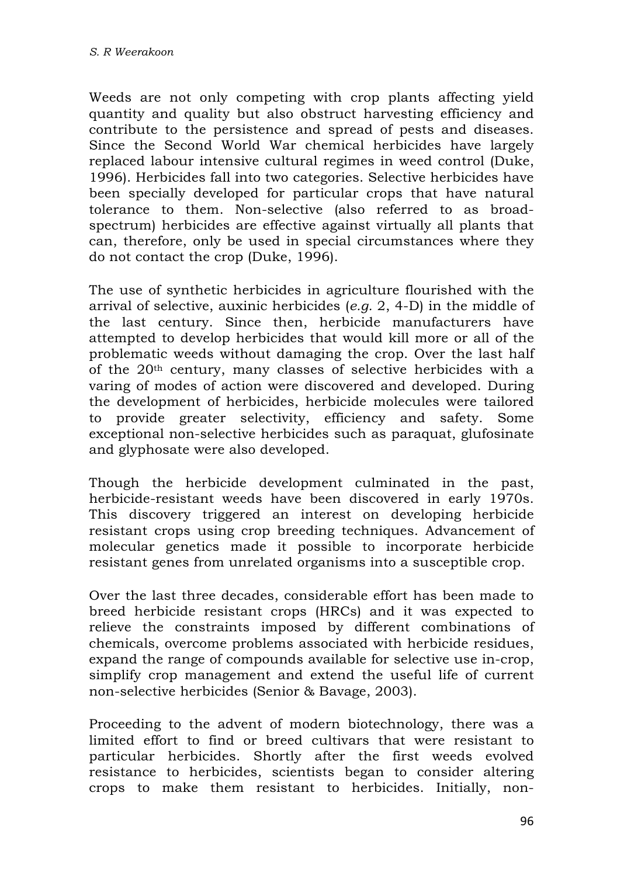Weeds are not only competing with crop plants affecting yield quantity and quality but also obstruct harvesting efficiency and contribute to the persistence and spread of pests and diseases. Since the Second World War chemical herbicides have largely replaced labour intensive cultural regimes in weed control (Duke, 1996). Herbicides fall into two categories. Selective herbicides have been specially developed for particular crops that have natural tolerance to them. Non-selective (also referred to as broadspectrum) herbicides are effective against virtually all plants that can, therefore, only be used in special circumstances where they do not contact the crop (Duke, 1996).

The use of synthetic herbicides in agriculture flourished with the arrival of selective, auxinic herbicides (*e.g.* 2, 4-D) in the middle of the last century. Since then, herbicide manufacturers have attempted to develop herbicides that would kill more or all of the problematic weeds without damaging the crop. Over the last half of the 20th century, many classes of selective herbicides with a varing of modes of action were discovered and developed. During the development of herbicides, herbicide molecules were tailored to provide greater selectivity, efficiency and safety. Some exceptional non-selective herbicides such as paraquat, glufosinate and glyphosate were also developed.

Though the herbicide development culminated in the past, herbicide-resistant weeds have been discovered in early 1970s. This discovery triggered an interest on developing herbicide resistant crops using crop breeding techniques. Advancement of molecular genetics made it possible to incorporate herbicide resistant genes from unrelated organisms into a susceptible crop.

Over the last three decades, considerable effort has been made to breed herbicide resistant crops (HRCs) and it was expected to relieve the constraints imposed by different combinations of chemicals, overcome problems associated with herbicide residues, expand the range of compounds available for selective use in-crop, simplify crop management and extend the useful life of current non-selective herbicides (Senior & Bavage, 2003).

Proceeding to the advent of modern biotechnology, there was a limited effort to find or breed cultivars that were resistant to particular herbicides. Shortly after the first weeds evolved resistance to herbicides, scientists began to consider altering crops to make them resistant to herbicides. Initially, non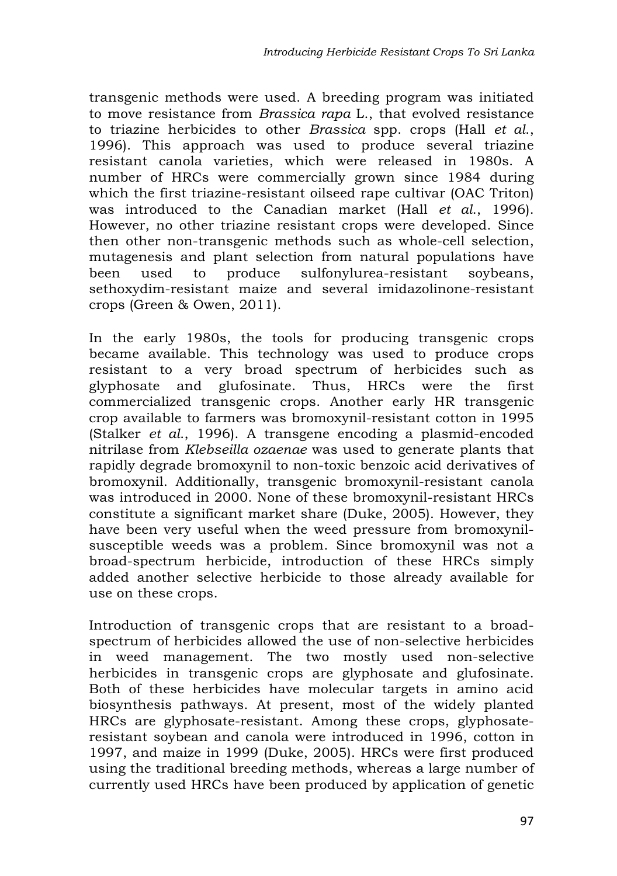transgenic methods were used. A breeding program was initiated to move resistance from *Brassica rapa* L., that evolved resistance to triazine herbicides to other *Brassica* spp. crops (Hall *et al*., 1996). This approach was used to produce several triazine resistant canola varieties, which were released in 1980s. A number of HRCs were commercially grown since 1984 during which the first triazine-resistant oilseed rape cultivar (OAC Triton) was introduced to the Canadian market (Hall *et al*., 1996). However, no other triazine resistant crops were developed. Since then other non-transgenic methods such as whole-cell selection, mutagenesis and plant selection from natural populations have been used to produce sulfonylurea-resistant soybeans, sethoxydim-resistant maize and several imidazolinone-resistant crops (Green & Owen, 2011).

In the early 1980s, the tools for producing transgenic crops became available. This technology was used to produce crops resistant to a very broad spectrum of herbicides such as glyphosate and glufosinate. Thus, HRCs were the first commercialized transgenic crops. Another early HR transgenic crop available to farmers was bromoxynil-resistant cotton in 1995 (Stalker *et al*., 1996). A transgene encoding a plasmid-encoded nitrilase from *Klebseilla ozaenae* was used to generate plants that rapidly degrade bromoxynil to non-toxic benzoic acid derivatives of bromoxynil. Additionally, transgenic bromoxynil-resistant canola was introduced in 2000. None of these bromoxynil-resistant HRCs constitute a significant market share (Duke, 2005). However, they have been very useful when the weed pressure from bromoxynilsusceptible weeds was a problem. Since bromoxynil was not a broad-spectrum herbicide, introduction of these HRCs simply added another selective herbicide to those already available for use on these crops.

Introduction of transgenic crops that are resistant to a broadspectrum of herbicides allowed the use of non-selective herbicides in weed management. The two mostly used non-selective herbicides in transgenic crops are glyphosate and glufosinate. Both of these herbicides have molecular targets in amino acid biosynthesis pathways. At present, most of the widely planted HRCs are glyphosate-resistant. Among these crops, glyphosateresistant soybean and canola were introduced in 1996, cotton in 1997, and maize in 1999 (Duke, 2005). HRCs were first produced using the traditional breeding methods, whereas a large number of currently used HRCs have been produced by application of genetic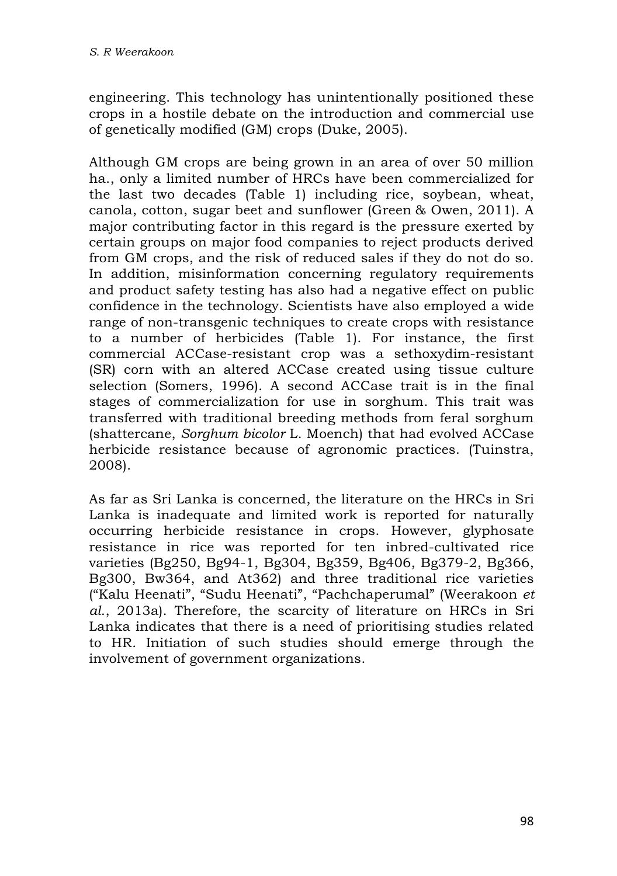engineering. This technology has unintentionally positioned these crops in a hostile debate on the introduction and commercial use of genetically modified (GM) crops (Duke, 2005).

Although GM crops are being grown in an area of over 50 million ha., only a limited number of HRCs have been commercialized for the last two decades (Table 1) including rice, soybean, wheat, canola, cotton, sugar beet and sunflower (Green & Owen, 2011). A major contributing factor in this regard is the pressure exerted by certain groups on major food companies to reject products derived from GM crops, and the risk of reduced sales if they do not do so. In addition, misinformation concerning regulatory requirements and product safety testing has also had a negative effect on public confidence in the technology. Scientists have also employed a wide range of non-transgenic techniques to create crops with resistance to a number of herbicides (Table 1). For instance, the first commercial ACCase-resistant crop was a sethoxydim-resistant (SR) corn with an altered ACCase created using tissue culture selection (Somers, 1996). A second ACCase trait is in the final stages of commercialization for use in sorghum. This trait was transferred with traditional breeding methods from feral sorghum (shattercane, *Sorghum bicolor* L. Moench) that had evolved ACCase herbicide resistance because of agronomic practices. (Tuinstra, 2008).

As far as Sri Lanka is concerned, the literature on the HRCs in Sri Lanka is inadequate and limited work is reported for naturally occurring herbicide resistance in crops. However, glyphosate resistance in rice was reported for ten inbred-cultivated rice varieties (Bg250, Bg94-1, Bg304, Bg359, Bg406, Bg379-2, Bg366, Bg300, Bw364, and At362) and three traditional rice varieties ("Kalu Heenati", "Sudu Heenati", "Pachchaperumal" (Weerakoon *et al*., 2013a). Therefore, the scarcity of literature on HRCs in Sri Lanka indicates that there is a need of prioritising studies related to HR. Initiation of such studies should emerge through the involvement of government organizations.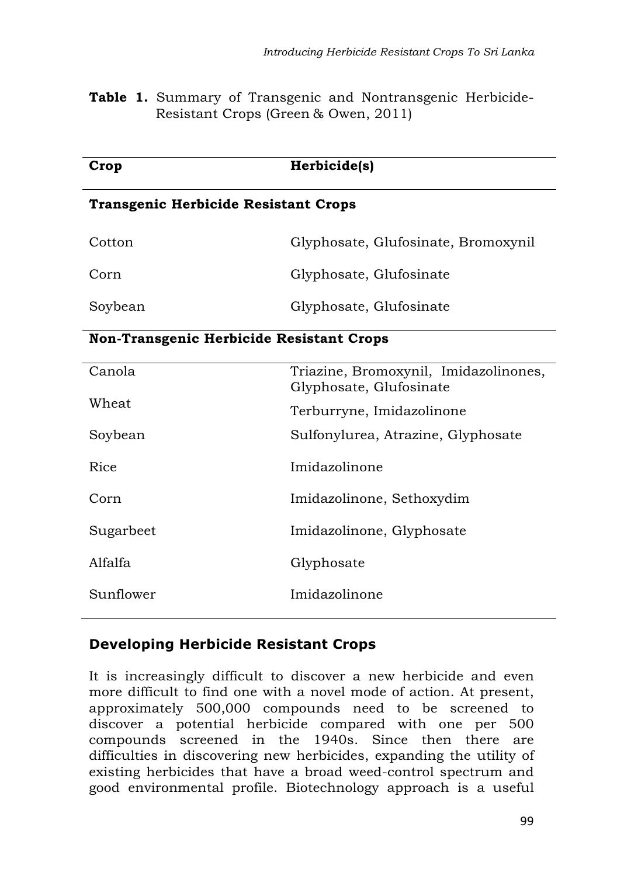**Table 1.** Summary of Transgenic and Nontransgenic Herbicide-Resistant Crops (Green & Owen, 2011)

| Crop                                            | Herbicide(s)                                                     |  |  |  |  |  |
|-------------------------------------------------|------------------------------------------------------------------|--|--|--|--|--|
| <b>Transgenic Herbicide Resistant Crops</b>     |                                                                  |  |  |  |  |  |
| Cotton                                          | Glyphosate, Glufosinate, Bromoxynil                              |  |  |  |  |  |
| Corn                                            | Glyphosate, Glufosinate                                          |  |  |  |  |  |
| Soybean                                         | Glyphosate, Glufosinate                                          |  |  |  |  |  |
| <b>Non-Transgenic Herbicide Resistant Crops</b> |                                                                  |  |  |  |  |  |
| Canola                                          | Triazine, Bromoxynil, Imidazolinones,<br>Glyphosate, Glufosinate |  |  |  |  |  |
| Wheat                                           | Terburryne, Imidazolinone                                        |  |  |  |  |  |
| Soybean                                         | Sulfonylurea, Atrazine, Glyphosate                               |  |  |  |  |  |
| Rice                                            | Imidazolinone                                                    |  |  |  |  |  |
| Corn                                            | Imidazolinone, Sethoxydim                                        |  |  |  |  |  |
| Sugarbeet                                       | Imidazolinone, Glyphosate                                        |  |  |  |  |  |
| Alfalfa                                         | Glyphosate                                                       |  |  |  |  |  |
| Sunflower                                       | Imidazolinone                                                    |  |  |  |  |  |

## **Developing Herbicide Resistant Crops**

It is increasingly difficult to discover a new herbicide and even more difficult to find one with a novel mode of action. At present, approximately 500,000 compounds need to be screened to discover a potential herbicide compared with one per 500 compounds screened in the 1940s. Since then there are difficulties in discovering new herbicides, expanding the utility of existing herbicides that have a broad weed-control spectrum and good environmental profile. Biotechnology approach is a useful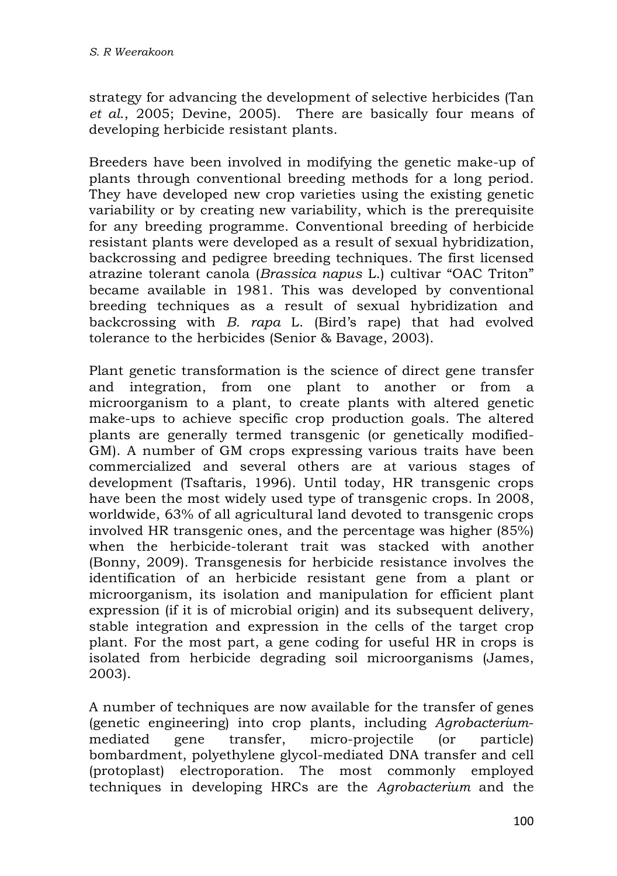strategy for advancing the development of selective herbicides (Tan *et al*., 2005; Devine, 2005). There are basically four means of developing herbicide resistant plants.

Breeders have been involved in modifying the genetic make-up of plants through conventional breeding methods for a long period. They have developed new crop varieties using the existing genetic variability or by creating new variability, which is the prerequisite for any breeding programme. Conventional breeding of herbicide resistant plants were developed as a result of sexual hybridization, backcrossing and pedigree breeding techniques. The first licensed atrazine tolerant canola (*Brassica napus* L.) cultivar "OAC Triton" became available in 1981. This was developed by conventional breeding techniques as a result of sexual hybridization and backcrossing with *B. rapa* L. (Bird's rape) that had evolved tolerance to the herbicides (Senior & Bavage, 2003).

Plant genetic transformation is the science of direct gene transfer and integration, from one plant to another or from a microorganism to a plant, to create plants with altered genetic make-ups to achieve specific crop production goals. The altered plants are generally termed transgenic (or genetically modified-GM). A number of GM crops expressing various traits have been commercialized and several others are at various stages of development (Tsaftaris, 1996). Until today, HR transgenic crops have been the most widely used type of transgenic crops. In 2008, worldwide, 63% of all agricultural land devoted to transgenic crops involved HR transgenic ones, and the percentage was higher (85%) when the herbicide-tolerant trait was stacked with another (Bonny, 2009). Transgenesis for herbicide resistance involves the identification of an herbicide resistant gene from a plant or microorganism, its isolation and manipulation for efficient plant expression (if it is of microbial origin) and its subsequent delivery, stable integration and expression in the cells of the target crop plant. For the most part, a gene coding for useful HR in crops is isolated from herbicide degrading soil microorganisms (James, 2003).

A number of techniques are now available for the transfer of genes (genetic engineering) into crop plants, including *Agrobacterium*mediated gene transfer, micro-projectile (or particle) bombardment, polyethylene glycol-mediated DNA transfer and cell (protoplast) electroporation. The most commonly employed techniques in developing HRCs are the *Agrobacterium* and the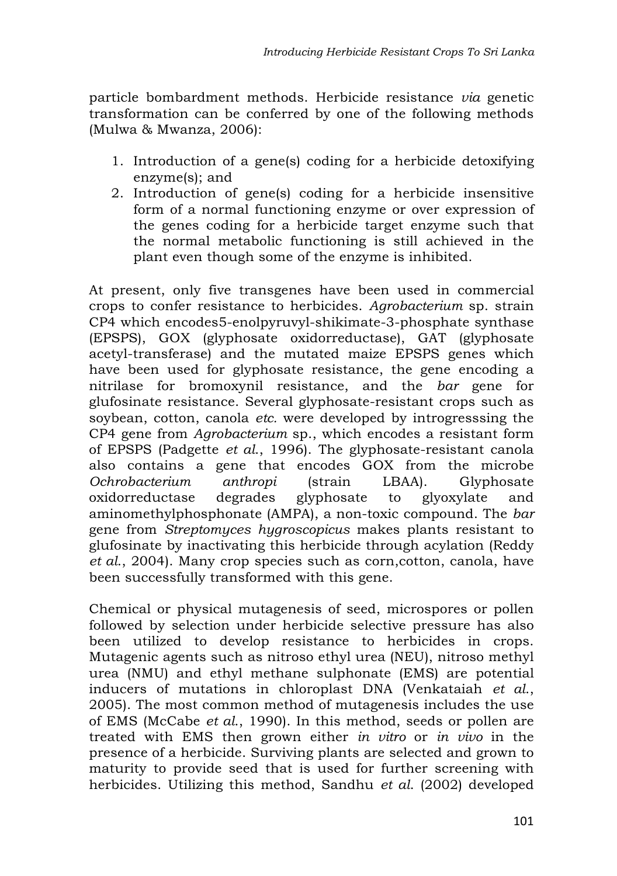particle bombardment methods. Herbicide resistance *via* genetic transformation can be conferred by one of the following methods (Mulwa & Mwanza, 2006):

- 1. Introduction of a gene(s) coding for a herbicide detoxifying enzyme(s); and
- 2. Introduction of gene(s) coding for a herbicide insensitive form of a normal functioning enzyme or over expression of the genes coding for a herbicide target enzyme such that the normal metabolic functioning is still achieved in the plant even though some of the enzyme is inhibited.

At present, only five transgenes have been used in commercial crops to confer resistance to herbicides. *Agrobacterium* sp. strain CP4 which encodes5-enolpyruvyl-shikimate-3-phosphate synthase (EPSPS), GOX (glyphosate oxidorreductase), GAT (glyphosate acetyl-transferase) and the mutated maize EPSPS genes which have been used for glyphosate resistance, the gene encoding a nitrilase for bromoxynil resistance, and the *bar* gene for glufosinate resistance. Several glyphosate-resistant crops such as soybean, cotton, canola *etc.* were developed by introgresssing the CP4 gene from *Agrobacterium* sp., which encodes a resistant form of EPSPS (Padgette *et al*., 1996). The glyphosate-resistant canola also contains a gene that encodes GOX from the microbe *Ochrobacterium anthropi* (strain LBAA). Glyphosate oxidorreductase degrades glyphosate to glyoxylate and aminomethylphosphonate (AMPA), a non-toxic compound. The *bar* gene from *Streptomyces hygroscopicus* makes plants resistant to glufosinate by inactivating this herbicide through acylation (Reddy *et al*., 2004). Many crop species such as corn,cotton, canola, have been successfully transformed with this gene.

Chemical or physical mutagenesis of seed, microspores or pollen followed by selection under herbicide selective pressure has also been utilized to develop resistance to herbicides in crops. Mutagenic agents such as nitroso ethyl urea (NEU), nitroso methyl urea (NMU) and ethyl methane sulphonate (EMS) are potential inducers of mutations in chloroplast DNA (Venkataiah *et al*., 2005). The most common method of mutagenesis includes the use of EMS (McCabe *et al*., 1990). In this method, seeds or pollen are treated with EMS then grown either *in vitro* or *in vivo* in the presence of a herbicide. Surviving plants are selected and grown to maturity to provide seed that is used for further screening with herbicides. Utilizing this method, Sandhu *et al*. (2002) developed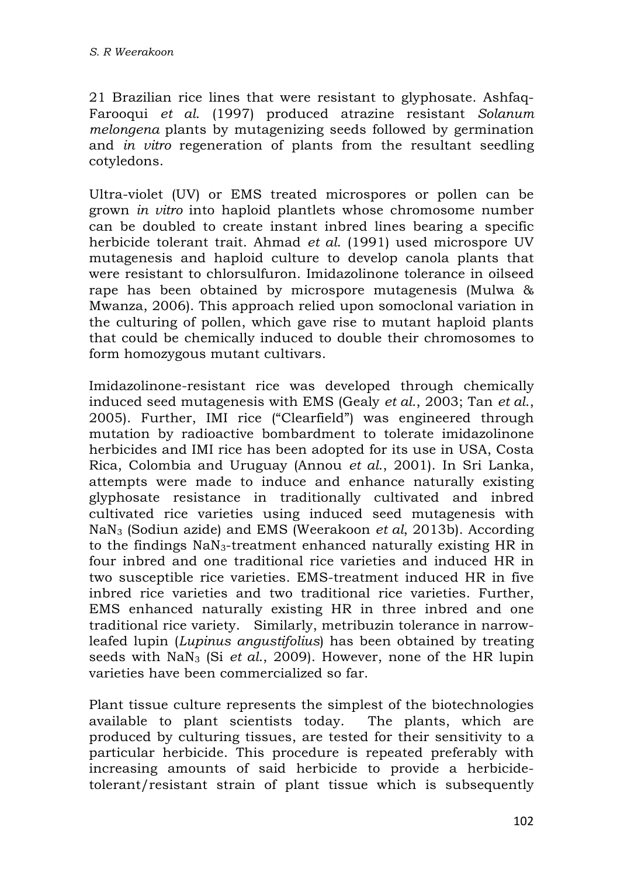21 Brazilian rice lines that were resistant to glyphosate. Ashfaq-Farooqui *et al*. (1997) produced atrazine resistant *Solanum melongena* plants by mutagenizing seeds followed by germination and *in vitro* regeneration of plants from the resultant seedling cotyledons.

Ultra-violet (UV) or EMS treated microspores or pollen can be grown *in vitro* into haploid plantlets whose chromosome number can be doubled to create instant inbred lines bearing a specific herbicide tolerant trait. Ahmad *et al*. (1991) used microspore UV mutagenesis and haploid culture to develop canola plants that were resistant to chlorsulfuron. Imidazolinone tolerance in oilseed rape has been obtained by microspore mutagenesis (Mulwa & Mwanza, 2006). This approach relied upon somoclonal variation in the culturing of pollen, which gave rise to mutant haploid plants that could be chemically induced to double their chromosomes to form homozygous mutant cultivars.

Imidazolinone-resistant rice was developed through chemically induced seed mutagenesis with EMS (Gealy *et al*., 2003; Tan *et al*., 2005). Further, IMI rice ("Clearfield") was engineered through mutation by radioactive bombardment to tolerate imidazolinone herbicides and IMI rice has been adopted for its use in USA, Costa Rica, Colombia and Uruguay (Annou *et al*., 2001). In Sri Lanka, attempts were made to induce and enhance naturally existing glyphosate resistance in traditionally cultivated and inbred cultivated rice varieties using induced seed mutagenesis with NaN3 (Sodiun azide) and EMS (Weerakoon *et al*, 2013b). According to the findings NaN3-treatment enhanced naturally existing HR in four inbred and one traditional rice varieties and induced HR in two susceptible rice varieties. EMS-treatment induced HR in five inbred rice varieties and two traditional rice varieties. Further, EMS enhanced naturally existing HR in three inbred and one traditional rice variety. Similarly, metribuzin tolerance in narrowleafed lupin (*Lupinus angustifolius*) has been obtained by treating seeds with NaN3 (Si *et al*., 2009). However, none of the HR lupin varieties have been commercialized so far.

Plant tissue culture represents the simplest of the biotechnologies available to plant scientists today. The plants, which are produced by culturing tissues, are tested for their sensitivity to a particular herbicide. This procedure is repeated preferably with increasing amounts of said herbicide to provide a herbicidetolerant/resistant strain of plant tissue which is subsequently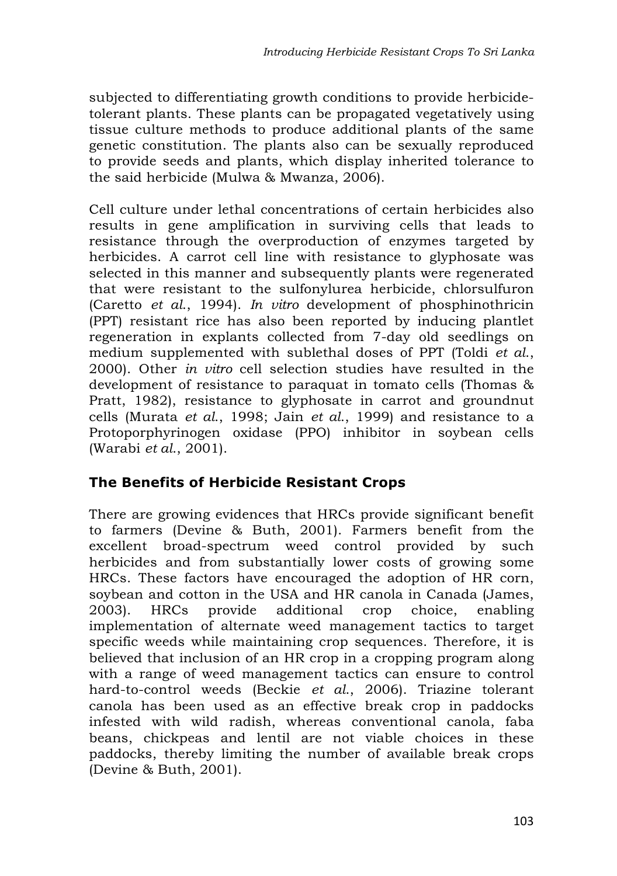subjected to differentiating growth conditions to provide herbicidetolerant plants. These plants can be propagated vegetatively using tissue culture methods to produce additional plants of the same genetic constitution. The plants also can be sexually reproduced to provide seeds and plants, which display inherited tolerance to the said herbicide (Mulwa & Mwanza, 2006).

Cell culture under lethal concentrations of certain herbicides also results in gene amplification in surviving cells that leads to resistance through the overproduction of enzymes targeted by herbicides. A carrot cell line with resistance to glyphosate was selected in this manner and subsequently plants were regenerated that were resistant to the sulfonylurea herbicide, chlorsulfuron (Caretto *et al*., 1994). *In vitro* development of phosphinothricin (PPT) resistant rice has also been reported by inducing plantlet regeneration in explants collected from 7-day old seedlings on medium supplemented with sublethal doses of PPT (Toldi *et al*., 2000). Other *in vitro* cell selection studies have resulted in the development of resistance to paraquat in tomato cells (Thomas & Pratt, 1982), resistance to glyphosate in carrot and groundnut cells (Murata *et al*., 1998; Jain *et al*., 1999) and resistance to a Protoporphyrinogen oxidase (PPO) inhibitor in soybean cells (Warabi *et al*., 2001).

## **The Benefits of Herbicide Resistant Crops**

There are growing evidences that HRCs provide significant benefit to farmers (Devine & Buth, 2001). Farmers benefit from the excellent broad-spectrum weed control provided by such herbicides and from substantially lower costs of growing some HRCs. These factors have encouraged the adoption of HR corn, soybean and cotton in the USA and HR canola in Canada (James, 2003). HRCs provide additional crop choice, enabling implementation of alternate weed management tactics to target specific weeds while maintaining crop sequences. Therefore, it is believed that inclusion of an HR crop in a cropping program along with a range of weed management tactics can ensure to control hard-to-control weeds (Beckie *et al*., 2006). Triazine tolerant canola has been used as an effective break crop in paddocks infested with wild radish, whereas conventional canola, faba beans, chickpeas and lentil are not viable choices in these paddocks, thereby limiting the number of available break crops (Devine & Buth, 2001).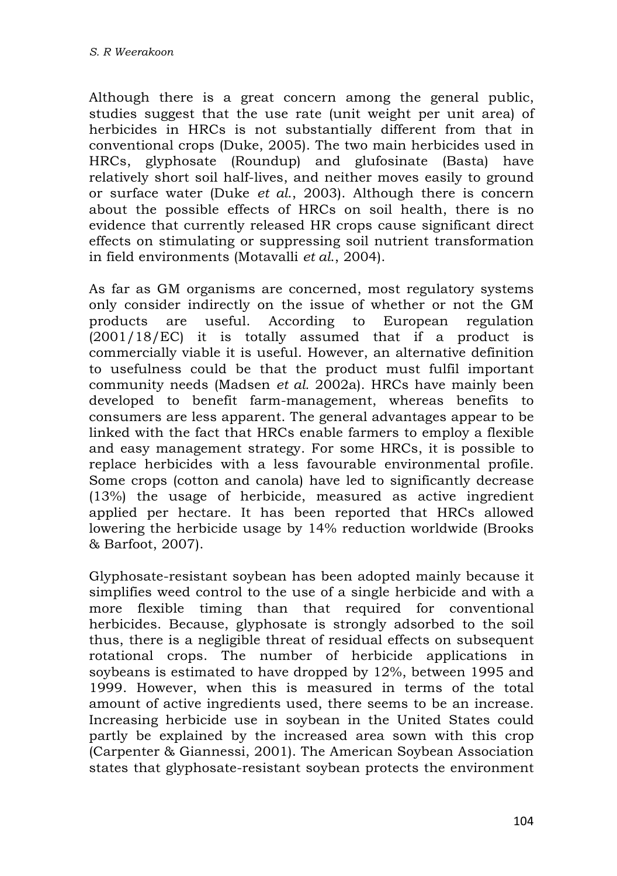Although there is a great concern among the general public, studies suggest that the use rate (unit weight per unit area) of herbicides in HRCs is not substantially different from that in conventional crops (Duke, 2005). The two main herbicides used in HRCs, glyphosate (Roundup) and glufosinate (Basta) have relatively short soil half-lives, and neither moves easily to ground or surface water (Duke *et al*., 2003). Although there is concern about the possible effects of HRCs on soil health, there is no evidence that currently released HR crops cause significant direct effects on stimulating or suppressing soil nutrient transformation in field environments (Motavalli *et al*., 2004).

As far as GM organisms are concerned, most regulatory systems only consider indirectly on the issue of whether or not the GM products are useful. According to European regulation (2001/18/EC) it is totally assumed that if a product is commercially viable it is useful. However, an alternative definition to usefulness could be that the product must fulfil important community needs (Madsen *et al.* 2002a). HRCs have mainly been developed to benefit farm-management, whereas benefits to consumers are less apparent. The general advantages appear to be linked with the fact that HRCs enable farmers to employ a flexible and easy management strategy. For some HRCs, it is possible to replace herbicides with a less favourable environmental profile. Some crops (cotton and canola) have led to significantly decrease (13%) the usage of herbicide, measured as active ingredient applied per hectare. It has been reported that HRCs allowed lowering the herbicide usage by 14% reduction worldwide (Brooks & Barfoot, 2007).

Glyphosate-resistant soybean has been adopted mainly because it simplifies weed control to the use of a single herbicide and with a more flexible timing than that required for conventional herbicides. Because, glyphosate is strongly adsorbed to the soil thus, there is a negligible threat of residual effects on subsequent rotational crops. The number of herbicide applications in soybeans is estimated to have dropped by 12%, between 1995 and 1999. However, when this is measured in terms of the total amount of active ingredients used, there seems to be an increase. Increasing herbicide use in soybean in the United States could partly be explained by the increased area sown with this crop (Carpenter & Giannessi, 2001). The American Soybean Association states that glyphosate-resistant soybean protects the environment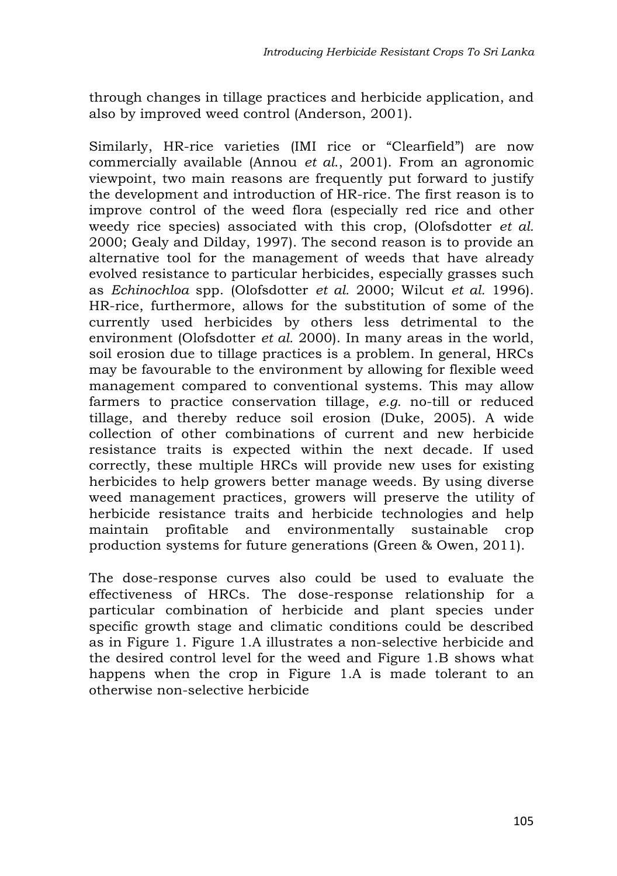through changes in tillage practices and herbicide application, and also by improved weed control (Anderson, 2001).

Similarly, HR-rice varieties (IMI rice or "Clearfield") are now commercially available (Annou *et al*., 2001). From an agronomic viewpoint, two main reasons are frequently put forward to justify the development and introduction of HR-rice. The first reason is to improve control of the weed flora (especially red rice and other weedy rice species) associated with this crop, (Olofsdotter *et al.* 2000; Gealy and Dilday, 1997). The second reason is to provide an alternative tool for the management of weeds that have already evolved resistance to particular herbicides, especially grasses such as *Echinochloa* spp. (Olofsdotter *et al.* 2000; Wilcut *et al.* 1996). HR-rice, furthermore, allows for the substitution of some of the currently used herbicides by others less detrimental to the environment (Olofsdotter *et al.* 2000). In many areas in the world, soil erosion due to tillage practices is a problem. In general, HRCs may be favourable to the environment by allowing for flexible weed management compared to conventional systems. This may allow farmers to practice conservation tillage, *e.g.* no-till or reduced tillage, and thereby reduce soil erosion (Duke, 2005). A wide collection of other combinations of current and new herbicide resistance traits is expected within the next decade. If used correctly, these multiple HRCs will provide new uses for existing herbicides to help growers better manage weeds. By using diverse weed management practices, growers will preserve the utility of herbicide resistance traits and herbicide technologies and help maintain profitable and environmentally sustainable crop production systems for future generations (Green & Owen, 2011).

The dose-response curves also could be used to evaluate the effectiveness of HRCs. The dose-response relationship for a particular combination of herbicide and plant species under specific growth stage and climatic conditions could be described as in Figure 1. Figure 1.A illustrates a non-selective herbicide and the desired control level for the weed and Figure 1.B shows what happens when the crop in Figure 1.A is made tolerant to an otherwise non-selective herbicide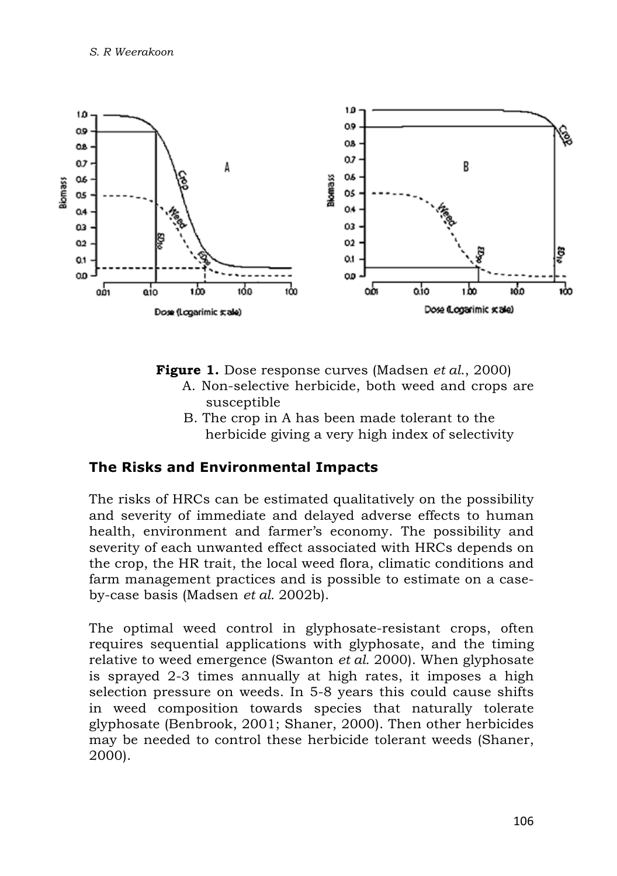

**Figure 1.** Dose response curves (Madsen *et al*., 2000)

- A. Non-selective herbicide, both weed and crops are susceptible
- B. The crop in A has been made tolerant to the herbicide giving a very high index of selectivity

## **The Risks and Environmental Impacts**

The risks of HRCs can be estimated qualitatively on the possibility and severity of immediate and delayed adverse effects to human health, environment and farmer's economy. The possibility and severity of each unwanted effect associated with HRCs depends on the crop, the HR trait, the local weed flora, climatic conditions and farm management practices and is possible to estimate on a caseby-case basis (Madsen *et al.* 2002b).

The optimal weed control in glyphosate-resistant crops, often requires sequential applications with glyphosate, and the timing relative to weed emergence (Swanton *et al.* 2000). When glyphosate is sprayed 2-3 times annually at high rates, it imposes a high selection pressure on weeds. In 5-8 years this could cause shifts in weed composition towards species that naturally tolerate glyphosate (Benbrook, 2001; Shaner, 2000). Then other herbicides may be needed to control these herbicide tolerant weeds (Shaner, 2000).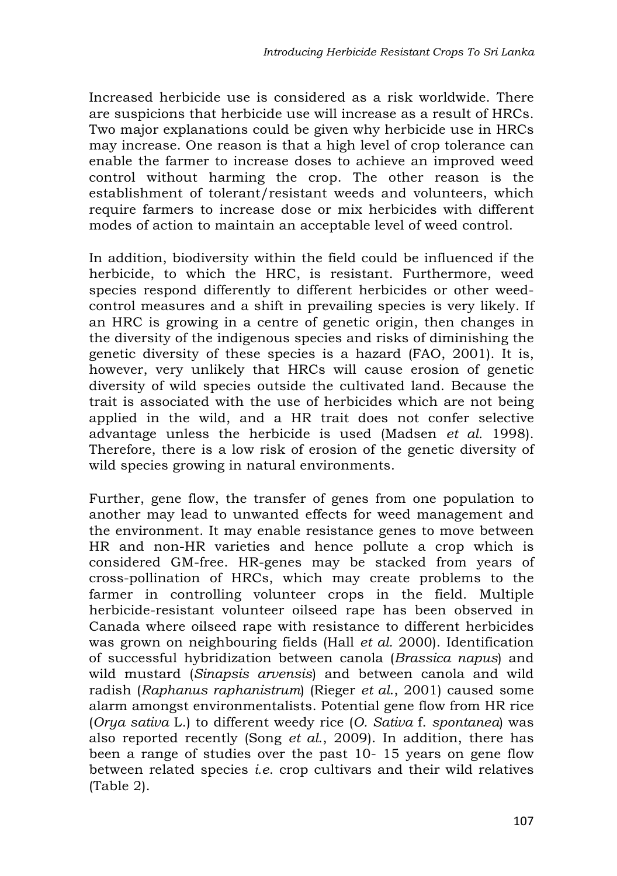Increased herbicide use is considered as a risk worldwide. There are suspicions that herbicide use will increase as a result of HRCs. Two major explanations could be given why herbicide use in HRCs may increase. One reason is that a high level of crop tolerance can enable the farmer to increase doses to achieve an improved weed control without harming the crop. The other reason is the establishment of tolerant/resistant weeds and volunteers, which require farmers to increase dose or mix herbicides with different modes of action to maintain an acceptable level of weed control.

In addition, biodiversity within the field could be influenced if the herbicide, to which the HRC, is resistant. Furthermore, weed species respond differently to different herbicides or other weedcontrol measures and a shift in prevailing species is very likely. If an HRC is growing in a centre of genetic origin, then changes in the diversity of the indigenous species and risks of diminishing the genetic diversity of these species is a hazard (FAO, 2001). It is, however, very unlikely that HRCs will cause erosion of genetic diversity of wild species outside the cultivated land. Because the trait is associated with the use of herbicides which are not being applied in the wild, and a HR trait does not confer selective advantage unless the herbicide is used (Madsen *et al.* 1998). Therefore, there is a low risk of erosion of the genetic diversity of wild species growing in natural environments.

Further, gene flow, the transfer of genes from one population to another may lead to unwanted effects for weed management and the environment. It may enable resistance genes to move between HR and non-HR varieties and hence pollute a crop which is considered GM-free. HR-genes may be stacked from years of cross-pollination of HRCs, which may create problems to the farmer in controlling volunteer crops in the field. Multiple herbicide-resistant volunteer oilseed rape has been observed in Canada where oilseed rape with resistance to different herbicides was grown on neighbouring fields (Hall *et al.* 2000). Identification of successful hybridization between canola (*Brassica napus*) and wild mustard (*Sinapsis arvensis*) and between canola and wild radish (*Raphanus raphanistrum*) (Rieger *et al*., 2001) caused some alarm amongst environmentalists. Potential gene flow from HR rice (*Orya sativa* L.) to different weedy rice (*O. Sativa* f. *spontanea*) was also reported recently (Song *et al*., 2009). In addition, there has been a range of studies over the past 10- 15 years on gene flow between related species *i.e*. crop cultivars and their wild relatives (Table 2).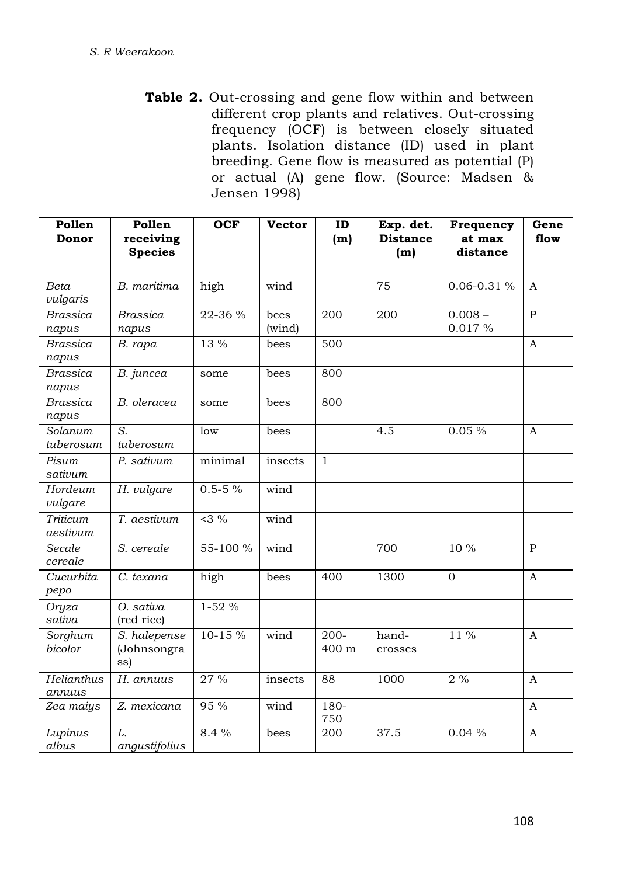**Table 2.** Out-crossing and gene flow within and between different crop plants and relatives. Out-crossing frequency (OCF) is between closely situated plants. Isolation distance (ID) used in plant breeding. Gene flow is measured as potential (P) or actual (A) gene flow. (Source: Madsen & Jensen 1998)

| Pollen<br>Donor          | Pollen<br>receiving<br><b>Species</b> | <b>OCF</b>   | <b>Vector</b>  | ID<br>(m)        | Exp. det.<br><b>Distance</b><br>(m) | Frequency<br>at max<br>distance | Gene<br>flow   |
|--------------------------|---------------------------------------|--------------|----------------|------------------|-------------------------------------|---------------------------------|----------------|
|                          |                                       |              |                |                  |                                     |                                 |                |
| Beta<br>vulgaris         | B. maritima                           | high         | wind           |                  | 75                                  | $0.06 - 0.31 %$                 | $\overline{A}$ |
| Brassica<br>napus        | <b>Brassica</b><br>napus              | 22-36 %      | bees<br>(wind) | 200              | 200                                 | $0.008 -$<br>0.017%             | $\mathbf{P}$   |
| <b>Brassica</b><br>napus | B. rapa                               | 13 %         | bees           | 500              |                                     |                                 | $\mathbf{A}$   |
| <b>Brassica</b><br>napus | B. juncea                             | some         | bees           | 800              |                                     |                                 |                |
| <b>Brassica</b><br>napus | B. oleracea                           | some         | bees           | 800              |                                     |                                 |                |
| Solanum<br>tuberosum     | S.<br>tuberosum                       | low          | bees           |                  | 4.5                                 | 0.05%                           | A              |
| Pisum<br>sativum         | P. sativum                            | minimal      | insects        | $\mathbf{1}$     |                                     |                                 |                |
| Hordeum<br>vulgare       | H. vulgare                            | $0.5 - 5 \%$ | wind           |                  |                                     |                                 |                |
| Triticum<br>aestivum     | T. aestivum                           | $<3\%$       | wind           |                  |                                     |                                 |                |
| Secale<br>cereale        | S. cereale                            | 55-100 %     | wind           |                  | 700                                 | 10 %                            | $\mathbf{P}$   |
| Cucurbita<br>pepo        | C. texana                             | high         | bees           | 400              | 1300                                | $\mathbf{0}$                    | $\mathbf{A}$   |
| Oryza<br>sativa          | O. sativa<br>(red rice)               | $1-52%$      |                |                  |                                     |                                 |                |
| Sorghum<br>bicolor       | S. halepense<br>(Johnsongra<br>ss)    | 10-15 %      | wind           | $200 -$<br>400 m | hand-<br>crosses                    | $11\%$                          | A              |
| Helianthus<br>annuus     | H. annuus                             | 27 %         | insects        | 88               | 1000                                | 2%                              | A              |
| Zea maiys                | Z. mexicana                           | 95 %         | wind           | 180-<br>750      |                                     |                                 | A              |
| Lupinus<br>albus         | L.<br>angustifolius                   | 8.4 %        | bees           | 200              | 37.5                                | 0.04%                           | $\mathbf{A}$   |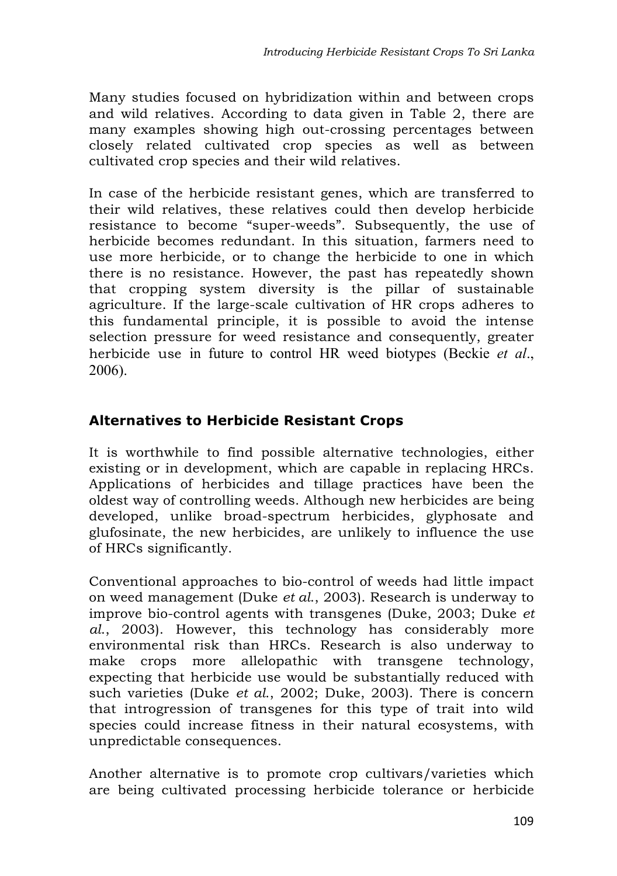Many studies focused on hybridization within and between crops and wild relatives. According to data given in Table 2, there are many examples showing high out-crossing percentages between closely related cultivated crop species as well as between cultivated crop species and their wild relatives.

In case of the herbicide resistant genes, which are transferred to their wild relatives, these relatives could then develop herbicide resistance to become "super-weeds". Subsequently, the use of herbicide becomes redundant. In this situation, farmers need to use more herbicide, or to change the herbicide to one in which there is no resistance. However, the past has repeatedly shown that cropping system diversity is the pillar of sustainable agriculture. If the large-scale cultivation of HR crops adheres to this fundamental principle, it is possible to avoid the intense selection pressure for weed resistance and consequently, greater herbicide use in future to control HR weed biotypes (Beckie *et al*., 2006).

# **Alternatives to Herbicide Resistant Crops**

It is worthwhile to find possible alternative technologies, either existing or in development, which are capable in replacing HRCs. Applications of herbicides and tillage practices have been the oldest way of controlling weeds. Although new herbicides are being developed, unlike broad-spectrum herbicides, glyphosate and glufosinate, the new herbicides, are unlikely to influence the use of HRCs significantly.

Conventional approaches to bio-control of weeds had little impact on weed management (Duke *et al*., 2003). Research is underway to improve bio-control agents with transgenes (Duke, 2003; Duke *et al*., 2003). However, this technology has considerably more environmental risk than HRCs. Research is also underway to make crops more allelopathic with transgene technology, expecting that herbicide use would be substantially reduced with such varieties (Duke *et al*., 2002; Duke, 2003). There is concern that introgression of transgenes for this type of trait into wild species could increase fitness in their natural ecosystems, with unpredictable consequences.

Another alternative is to promote crop cultivars/varieties which are being cultivated processing herbicide tolerance or herbicide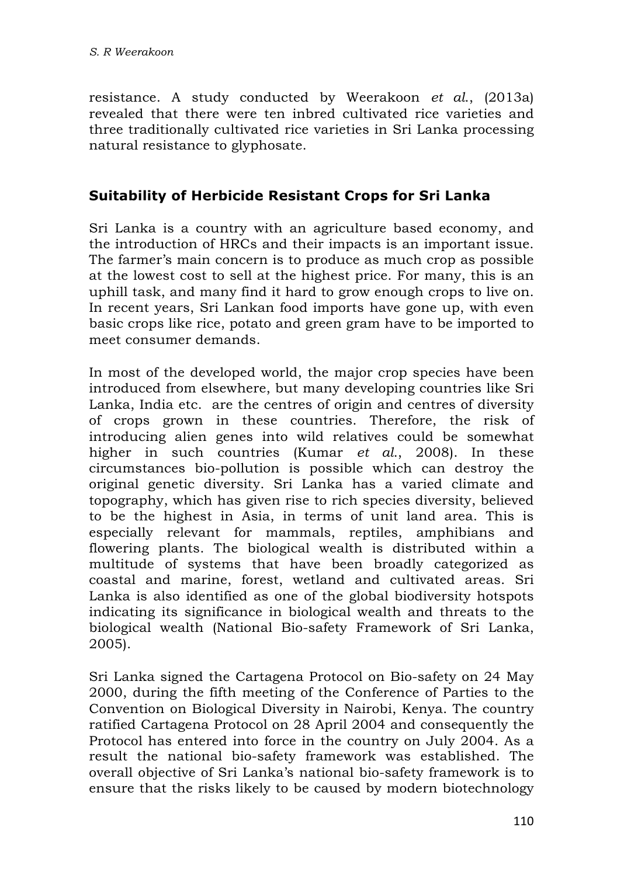resistance. A study conducted by Weerakoon *et al*., (2013a) revealed that there were ten inbred cultivated rice varieties and three traditionally cultivated rice varieties in Sri Lanka processing natural resistance to glyphosate.

## **Suitability of Herbicide Resistant Crops for Sri Lanka**

Sri Lanka is a country with an agriculture based economy, and the introduction of HRCs and their impacts is an important issue. The farmer's main concern is to produce as much crop as possible at the lowest cost to sell at the highest price. For many, this is an uphill task, and many find it hard to grow enough crops to live on. In recent years, Sri Lankan food imports have gone up, with even basic crops like rice, potato and green gram have to be imported to meet consumer demands.

In most of the developed world, the major crop species have been introduced from elsewhere, but many developing countries like Sri Lanka, India etc. are the centres of origin and centres of diversity of crops grown in these countries. Therefore, the risk of introducing alien genes into wild relatives could be somewhat higher in such countries (Kumar *et al*., 2008). In these circumstances bio-pollution is possible which can destroy the original genetic diversity. Sri Lanka has a varied climate and topography, which has given rise to rich species diversity, believed to be the highest in Asia, in terms of unit land area. This is especially relevant for mammals, reptiles, amphibians and flowering plants. The biological wealth is distributed within a multitude of systems that have been broadly categorized as coastal and marine, forest, wetland and cultivated areas. Sri Lanka is also identified as one of the global biodiversity hotspots indicating its significance in biological wealth and threats to the biological wealth (National Bio-safety Framework of Sri Lanka, 2005).

Sri Lanka signed the Cartagena Protocol on Bio-safety on 24 May 2000, during the fifth meeting of the Conference of Parties to the Convention on Biological Diversity in Nairobi, Kenya. The country ratified Cartagena Protocol on 28 April 2004 and consequently the Protocol has entered into force in the country on July 2004. As a result the national bio-safety framework was established. The overall objective of Sri Lanka's national bio-safety framework is to ensure that the risks likely to be caused by modern biotechnology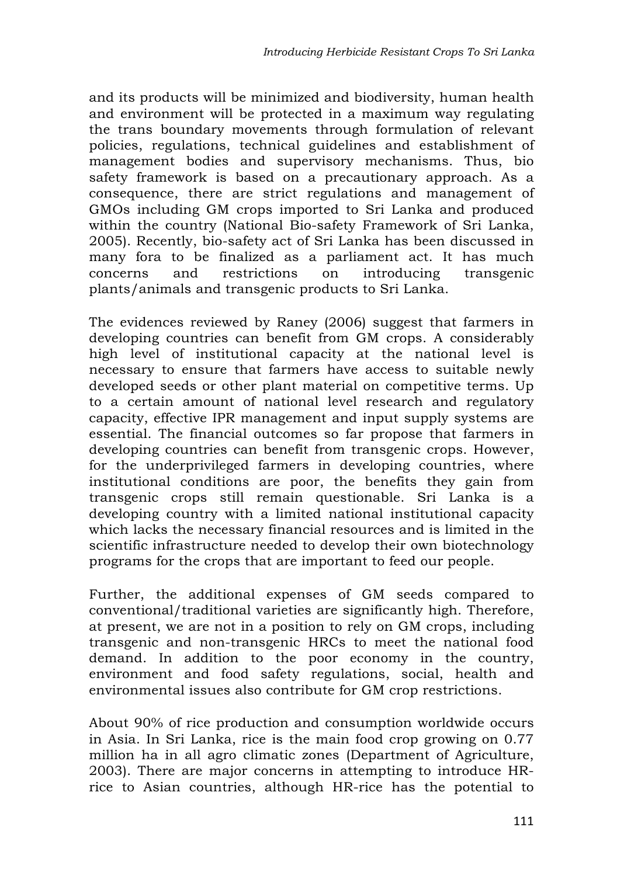and its products will be minimized and biodiversity, human health and environment will be protected in a maximum way regulating the trans boundary movements through formulation of relevant policies, regulations, technical guidelines and establishment of management bodies and supervisory mechanisms. Thus, bio safety framework is based on a precautionary approach. As a consequence, there are strict regulations and management of GMOs including GM crops imported to Sri Lanka and produced within the country (National Bio-safety Framework of Sri Lanka, 2005). Recently, bio-safety act of Sri Lanka has been discussed in many fora to be finalized as a parliament act. It has much concerns and restrictions on introducing transgenic plants/animals and transgenic products to Sri Lanka.

The evidences reviewed by Raney (2006) suggest that farmers in developing countries can benefit from GM crops. A considerably high level of institutional capacity at the national level is necessary to ensure that farmers have access to suitable newly developed seeds or other plant material on competitive terms. Up to a certain amount of national level research and regulatory capacity, effective IPR management and input supply systems are essential. The financial outcomes so far propose that farmers in developing countries can benefit from transgenic crops. However, for the underprivileged farmers in developing countries, where institutional conditions are poor, the benefits they gain from transgenic crops still remain questionable. Sri Lanka is a developing country with a limited national institutional capacity which lacks the necessary financial resources and is limited in the scientific infrastructure needed to develop their own biotechnology programs for the crops that are important to feed our people.

Further, the additional expenses of GM seeds compared to conventional/traditional varieties are significantly high. Therefore, at present, we are not in a position to rely on GM crops, including transgenic and non-transgenic HRCs to meet the national food demand. In addition to the poor economy in the country, environment and food safety regulations, social, health and environmental issues also contribute for GM crop restrictions.

About 90% of rice production and consumption worldwide occurs in Asia. In Sri Lanka, rice is the main food crop growing on 0.77 million ha in all agro climatic zones (Department of Agriculture, 2003). There are major concerns in attempting to introduce HRrice to Asian countries, although HR-rice has the potential to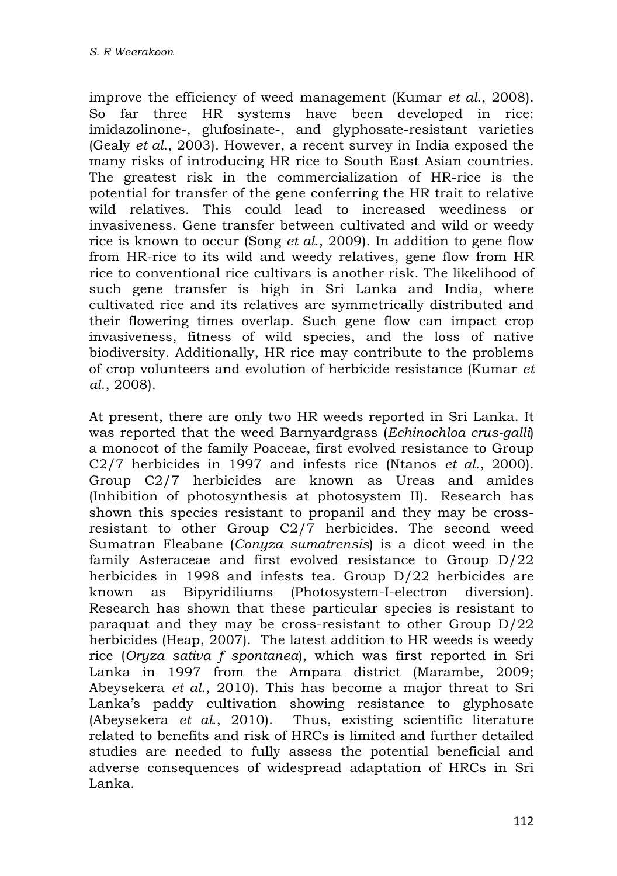improve the efficiency of weed management (Kumar *et al*., 2008). So far three HR systems have been developed in rice: imidazolinone-, glufosinate-, and glyphosate-resistant varieties (Gealy *et al*., 2003). However, a recent survey in India exposed the many risks of introducing HR rice to South East Asian countries. The greatest risk in the commercialization of HR-rice is the potential for transfer of the gene conferring the HR trait to relative wild relatives. This could lead to increased weediness or invasiveness. Gene transfer between cultivated and wild or weedy rice is known to occur (Song *et al*., 2009). In addition to gene flow from HR-rice to its wild and weedy relatives, gene flow from HR rice to conventional rice cultivars is another risk. The likelihood of such gene transfer is high in Sri Lanka and India, where cultivated rice and its relatives are symmetrically distributed and their flowering times overlap. Such gene flow can impact crop invasiveness, fitness of wild species, and the loss of native biodiversity. Additionally, HR rice may contribute to the problems of crop volunteers and evolution of herbicide resistance (Kumar *et al*., 2008).

At present, there are only two HR weeds reported in Sri Lanka. It was reported that the weed Barnyardgrass (*Echinochloa crus-galli*) a monocot of the family Poaceae, first evolved resistance to Group C2/7 herbicides in 1997 and infests rice (Ntanos *et al*., 2000). Group C2/7 herbicides are known as Ureas and amides (Inhibition of photosynthesis at photosystem II). Research has shown this species resistant to propanil and they may be crossresistant to other Group C2/7 herbicides. The second weed Sumatran Fleabane (*Conyza sumatrensis*) is a dicot weed in the family Asteraceae and first evolved resistance to Group D/22 herbicides in 1998 and infests tea. Group D/22 herbicides are known as Bipyridiliums (Photosystem-I-electron diversion). Research has shown that these particular species is resistant to paraquat and they may be cross-resistant to other Group D/22 herbicides (Heap, 2007). The latest addition to HR weeds is weedy rice (*Oryza sativa f spontanea*), which was first reported in Sri Lanka in 1997 from the Ampara district (Marambe, 2009; Abeysekera *et al*., 2010). This has become a major threat to Sri Lanka's paddy cultivation showing resistance to glyphosate (Abeysekera *et al*., 2010). Thus, existing scientific literature related to benefits and risk of HRCs is limited and further detailed studies are needed to fully assess the potential beneficial and adverse consequences of widespread adaptation of HRCs in Sri Lanka.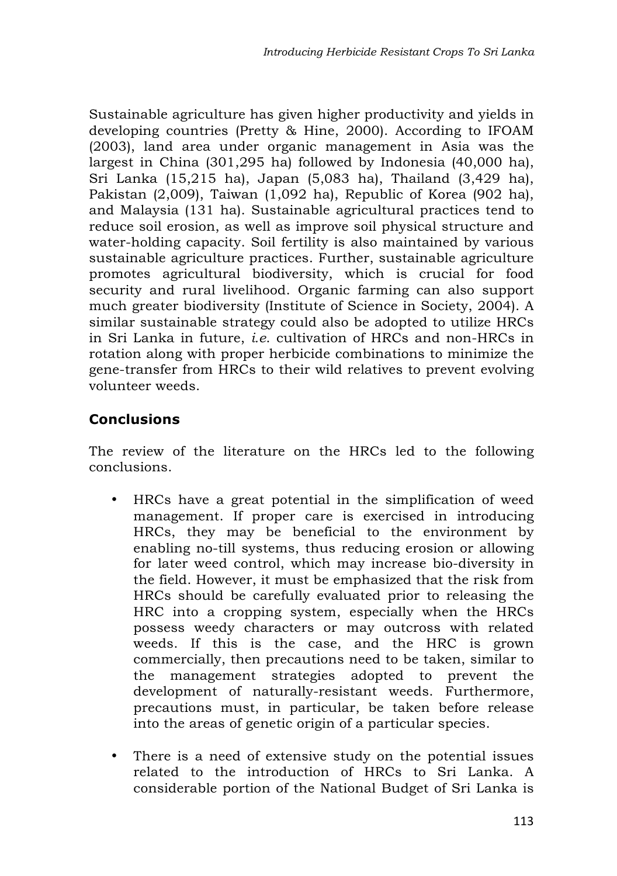Sustainable agriculture has given higher productivity and yields in developing countries (Pretty & Hine, 2000). According to IFOAM (2003), land area under organic management in Asia was the largest in China (301,295 ha) followed by Indonesia (40,000 ha), Sri Lanka (15,215 ha), Japan (5,083 ha), Thailand (3,429 ha), Pakistan (2,009), Taiwan (1,092 ha), Republic of Korea (902 ha), and Malaysia (131 ha). Sustainable agricultural practices tend to reduce soil erosion, as well as improve soil physical structure and water-holding capacity. Soil fertility is also maintained by various sustainable agriculture practices. Further, sustainable agriculture promotes agricultural biodiversity, which is crucial for food security and rural livelihood. Organic farming can also support much greater biodiversity (Institute of Science in Society, 2004). A similar sustainable strategy could also be adopted to utilize HRCs in Sri Lanka in future, *i.e*. cultivation of HRCs and non-HRCs in rotation along with proper herbicide combinations to minimize the gene-transfer from HRCs to their wild relatives to prevent evolving volunteer weeds.

# **Conclusions**

The review of the literature on the HRCs led to the following conclusions.

- HRCs have a great potential in the simplification of weed management. If proper care is exercised in introducing HRCs, they may be beneficial to the environment by enabling no-till systems, thus reducing erosion or allowing for later weed control, which may increase bio-diversity in the field. However, it must be emphasized that the risk from HRCs should be carefully evaluated prior to releasing the HRC into a cropping system, especially when the HRCs possess weedy characters or may outcross with related weeds. If this is the case, and the HRC is grown commercially, then precautions need to be taken, similar to the management strategies adopted to prevent the development of naturally-resistant weeds. Furthermore, precautions must, in particular, be taken before release into the areas of genetic origin of a particular species.
- There is a need of extensive study on the potential issues related to the introduction of HRCs to Sri Lanka. A considerable portion of the National Budget of Sri Lanka is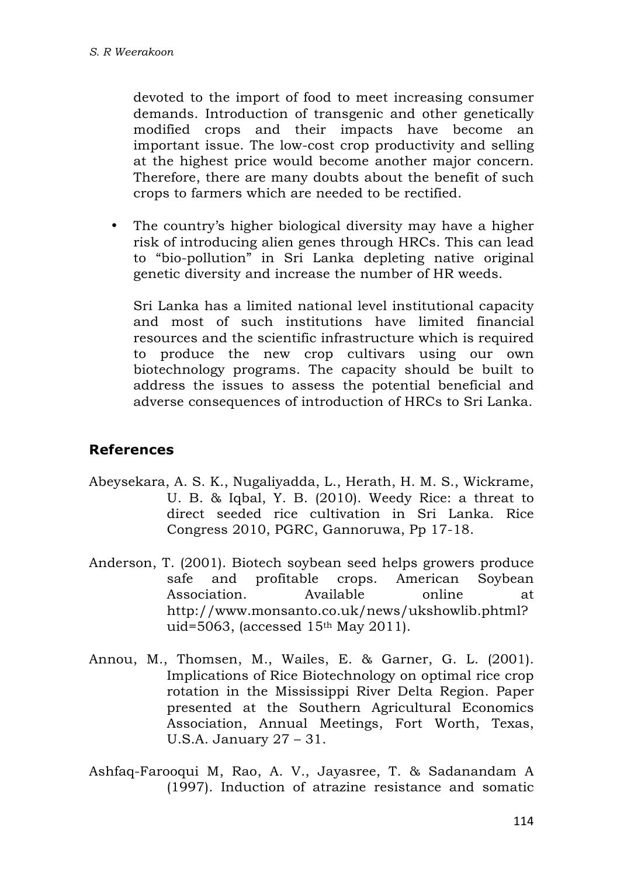devoted to the import of food to meet increasing consumer demands. Introduction of transgenic and other genetically modified crops and their impacts have become an important issue. The low-cost crop productivity and selling at the highest price would become another major concern. Therefore, there are many doubts about the benefit of such crops to farmers which are needed to be rectified.

• The country's higher biological diversity may have a higher risk of introducing alien genes through HRCs. This can lead to "bio-pollution" in Sri Lanka depleting native original genetic diversity and increase the number of HR weeds.

Sri Lanka has a limited national level institutional capacity and most of such institutions have limited financial resources and the scientific infrastructure which is required to produce the new crop cultivars using our own biotechnology programs. The capacity should be built to address the issues to assess the potential beneficial and adverse consequences of introduction of HRCs to Sri Lanka.

#### **References**

- Abeysekara, A. S. K., Nugaliyadda, L., Herath, H. M. S., Wickrame, U. B. & Iqbal, Y. B. (2010). Weedy Rice: a threat to direct seeded rice cultivation in Sri Lanka. Rice Congress 2010, PGRC, Gannoruwa, Pp 17-18.
- Anderson, T. (2001). Biotech soybean seed helps growers produce safe and profitable crops. American Soybean Association. Available online at http://www.monsanto.co.uk/news/ukshowlib.phtml? uid=5063, (accessed 15th May 2011).
- Annou, M., Thomsen, M., Wailes, E. & Garner, G. L. (2001). Implications of Rice Biotechnology on optimal rice crop rotation in the Mississippi River Delta Region. Paper presented at the Southern Agricultural Economics Association, Annual Meetings, Fort Worth, Texas, U.S.A. January 27 – 31.
- Ashfaq-Farooqui M, Rao, A. V., Jayasree, T. & Sadanandam A (1997). Induction of atrazine resistance and somatic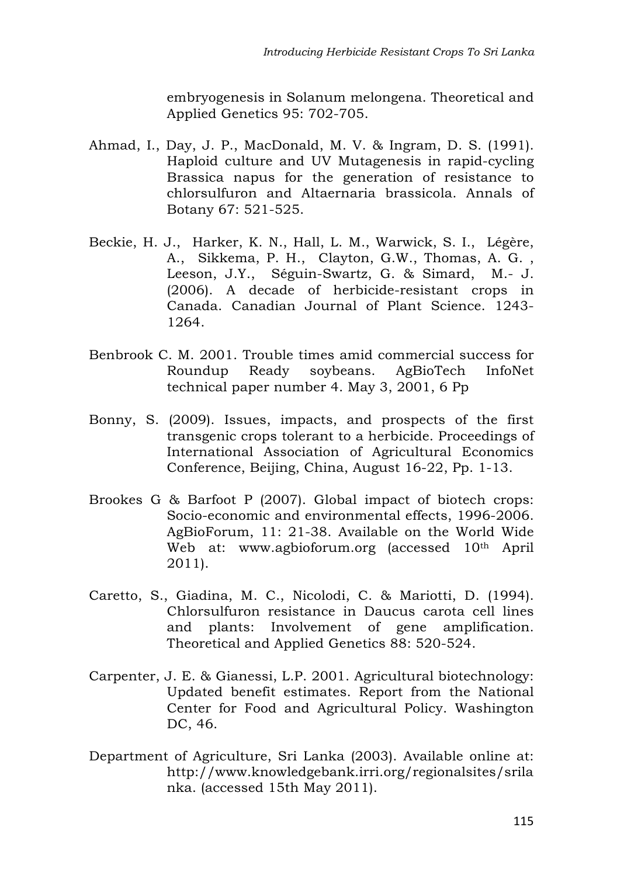embryogenesis in Solanum melongena. Theoretical and Applied Genetics 95: 702-705.

- Ahmad, I., Day, J. P., MacDonald, M. V. & Ingram, D. S. (1991). Haploid culture and UV Mutagenesis in rapid-cycling Brassica napus for the generation of resistance to chlorsulfuron and Altaernaria brassicola. Annals of Botany 67: 521-525.
- Beckie, H. J., Harker, K. N., Hall, L. M., Warwick, S. I., Légère, A., Sikkema, P. H., Clayton, G.W., Thomas, A. G. , Leeson, J.Y., Séguin-Swartz, G. & Simard, M.- J. (2006). A decade of herbicide-resistant crops in Canada. Canadian Journal of Plant Science. 1243- 1264.
- Benbrook C. M. 2001. Trouble times amid commercial success for Roundup Ready soybeans. AgBioTech InfoNet technical paper number 4. May 3, 2001, 6 Pp
- Bonny, S. (2009). Issues, impacts, and prospects of the first transgenic crops tolerant to a herbicide. Proceedings of International Association of Agricultural Economics Conference, Beijing, China, August 16-22, Pp. 1-13.
- Brookes G & Barfoot P (2007). Global impact of biotech crops: Socio-economic and environmental effects, 1996-2006. AgBioForum, 11: 21-38. Available on the World Wide Web at: www.agbioforum.org (accessed 10th April 2011).
- Caretto, S., Giadina, M. C., Nicolodi, C. & Mariotti, D. (1994). Chlorsulfuron resistance in Daucus carota cell lines and plants: Involvement of gene amplification. Theoretical and Applied Genetics 88: 520-524.
- Carpenter, J. E. & Gianessi, L.P. 2001. Agricultural biotechnology: Updated benefit estimates. Report from the National Center for Food and Agricultural Policy. Washington DC, 46.
- Department of Agriculture, Sri Lanka (2003). Available online at: http://www.knowledgebank.irri.org/regionalsites/srila nka. (accessed 15th May 2011).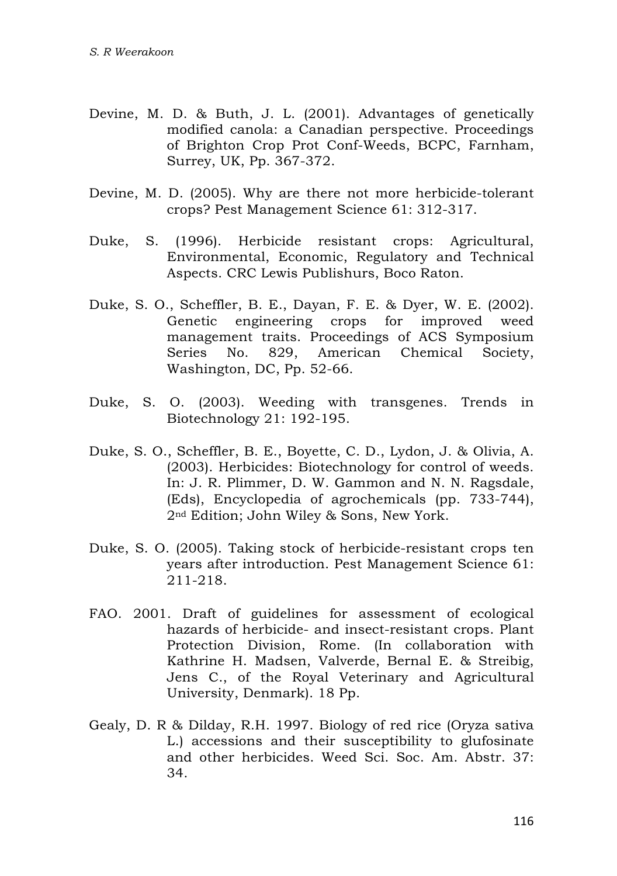- Devine, M. D. & Buth, J. L. (2001). Advantages of genetically modified canola: a Canadian perspective. Proceedings of Brighton Crop Prot Conf-Weeds, BCPC, Farnham, Surrey, UK, Pp. 367-372.
- Devine, M. D. (2005). Why are there not more herbicide-tolerant crops? Pest Management Science 61: 312-317.
- Duke, S. (1996). Herbicide resistant crops: Agricultural, Environmental, Economic, Regulatory and Technical Aspects. CRC Lewis Publishurs, Boco Raton.
- Duke, S. O., Scheffler, B. E., Dayan, F. E. & Dyer, W. E. (2002). Genetic engineering crops for improved weed management traits. Proceedings of ACS Symposium Series No. 829, American Chemical Society, Washington, DC, Pp. 52-66.
- Duke, S. O. (2003). Weeding with transgenes. Trends in Biotechnology 21: 192-195.
- Duke, S. O., Scheffler, B. E., Boyette, C. D., Lydon, J. & Olivia, A. (2003). Herbicides: Biotechnology for control of weeds. In: J. R. Plimmer, D. W. Gammon and N. N. Ragsdale, (Eds), Encyclopedia of agrochemicals (pp. 733-744), 2nd Edition; John Wiley & Sons, New York.
- Duke, S. O. (2005). Taking stock of herbicide-resistant crops ten years after introduction. Pest Management Science 61: 211-218.
- FAO. 2001. Draft of guidelines for assessment of ecological hazards of herbicide- and insect-resistant crops. Plant Protection Division, Rome. (In collaboration with Kathrine H. Madsen, Valverde, Bernal E. & Streibig, Jens C., of the Royal Veterinary and Agricultural University, Denmark). 18 Pp.
- Gealy, D. R & Dilday, R.H. 1997. Biology of red rice (Oryza sativa L.) accessions and their susceptibility to glufosinate and other herbicides. Weed Sci. Soc. Am. Abstr. 37: 34.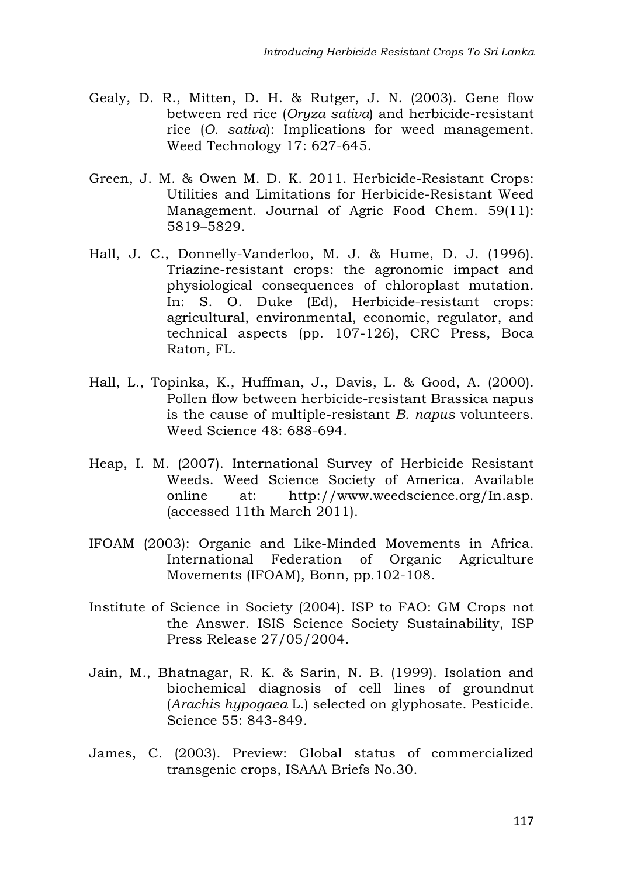- Gealy, D. R., Mitten, D. H. & Rutger, J. N. (2003). Gene flow between red rice (*Oryza sativa*) and herbicide-resistant rice (*O. sativa*): Implications for weed management. Weed Technology 17: 627-645.
- Green, J. M. & Owen M. D. K. 2011. Herbicide-Resistant Crops: Utilities and Limitations for Herbicide-Resistant Weed Management. Journal of Agric Food Chem. 59(11): 5819–5829.
- Hall, J. C., Donnelly-Vanderloo, M. J. & Hume, D. J. (1996). Triazine-resistant crops: the agronomic impact and physiological consequences of chloroplast mutation. In: S. O. Duke (Ed), Herbicide-resistant crops: agricultural, environmental, economic, regulator, and technical aspects (pp. 107-126), CRC Press, Boca Raton, FL.
- Hall, L., Topinka, K., Huffman, J., Davis, L. & Good, A. (2000). Pollen flow between herbicide-resistant Brassica napus is the cause of multiple-resistant *B. napus* volunteers. Weed Science 48: 688-694.
- Heap, I. M. (2007). International Survey of Herbicide Resistant Weeds. Weed Science Society of America. Available online at: http://www.weedscience.org/In.asp. (accessed 11th March 2011).
- IFOAM (2003): Organic and Like-Minded Movements in Africa. International Federation of Organic Agriculture Movements (IFOAM), Bonn, pp.102-108.
- Institute of Science in Society (2004). ISP to FAO: GM Crops not the Answer. ISIS Science Society Sustainability, ISP Press Release 27/05/2004.
- Jain, M., Bhatnagar, R. K. & Sarin, N. B. (1999). Isolation and biochemical diagnosis of cell lines of groundnut (*Arachis hypogaea* L.) selected on glyphosate. Pesticide. Science 55: 843-849.
- James, C. (2003). Preview: Global status of commercialized transgenic crops, ISAAA Briefs No.30.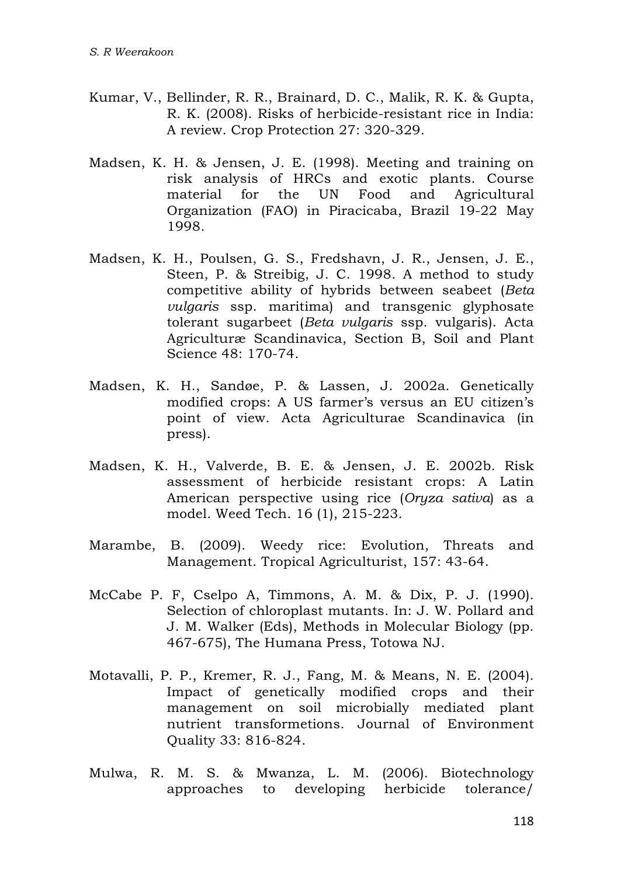- Kumar, V., Bellinder, R. R., Brainard, D. C., Malik, R. K. & Gupta, R. K. (2008). Risks of herbicide-resistant rice in India: A review. Crop Protection 27: 320-329.
- Madsen, K. H. & Jensen, J. E. (1998). Meeting and training on risk analysis of HRCs and exotic plants. Course material for the UN Food and Agricultural Organization (FAO) in Piracicaba, Brazil 19-22 May 1998.
- Madsen, K. H., Poulsen, G. S., Fredshavn, J. R., Jensen, J. E., Steen, P. & Streibig, J. C. 1998. A method to study competitive ability of hybrids between seabeet (*Beta vulgaris* ssp. maritima) and transgenic glyphosate tolerant sugarbeet (*Beta vulgaris* ssp. vulgaris). Acta Agriculturæ Scandinavica, Section B, Soil and Plant Science 48: 170-74.
- Madsen, K. H., Sandøe, P. & Lassen, J. 2002a. Genetically modified crops: A US farmer's versus an EU citizen's point of view. Acta Agriculturae Scandinavica (in press).
- Madsen, K. H., Valverde, B. E. & Jensen, J. E. 2002b. Risk assessment of herbicide resistant crops: A Latin American perspective using rice (*Oryza sativa*) as a model. Weed Tech. 16 (1), 215-223.
- Marambe, B. (2009). Weedy rice: Evolution, Threats and Management. Tropical Agriculturist, 157: 43-64.
- McCabe P. F, Cselpo A, Timmons, A. M. & Dix, P. J. (1990). Selection of chloroplast mutants. In: J. W. Pollard and J. M. Walker (Eds), Methods in Molecular Biology (pp. 467-675), The Humana Press, Totowa NJ.
- Motavalli, P. P., Kremer, R. J., Fang, M. & Means, N. E. (2004). Impact of genetically modified crops and their management on soil microbially mediated plant nutrient transformetions. Journal of Environment Quality 33: 816-824.
- Mulwa, R. M. S. & Mwanza, L. M. (2006). Biotechnology approaches to developing herbicide tolerance/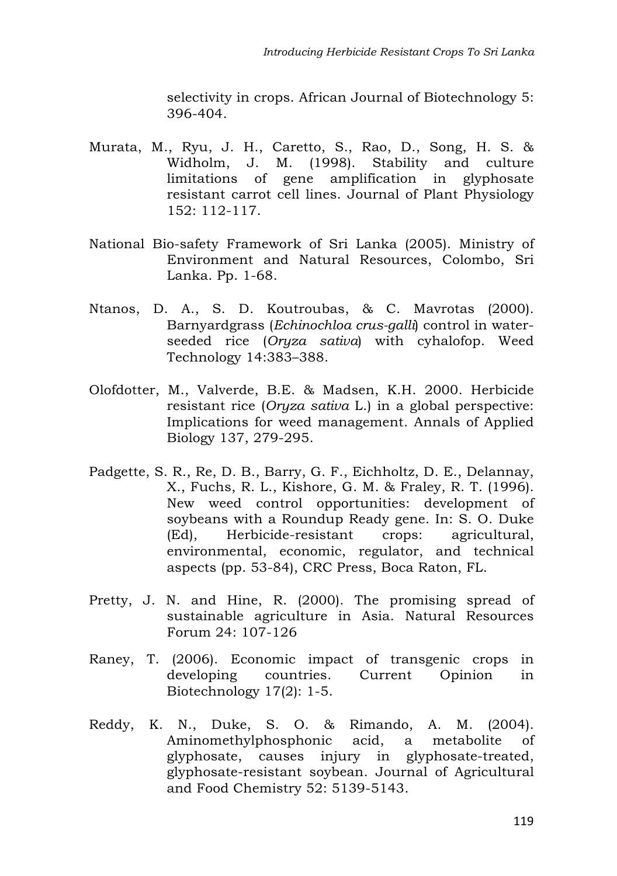selectivity in crops. African Journal of Biotechnology 5: 396-404.

- Murata, M., Ryu, J. H., Caretto, S., Rao, D., Song, H. S. & Widholm, J. M. (1998). Stability and culture limitations of gene amplification in glyphosate resistant carrot cell lines. Journal of Plant Physiology 152: 112-117.
- National Bio-safety Framework of Sri Lanka (2005). Ministry of Environment and Natural Resources, Colombo, Sri Lanka. Pp. 1-68.
- Ntanos, D. A., S. D. Koutroubas, & C. Mavrotas (2000). Barnyardgrass (*Echinochloa crus-galli*) control in waterseeded rice (*Oryza sativa*) with cyhalofop. Weed Technology 14:383–388.
- Olofdotter, M., Valverde, B.E. & Madsen, K.H. 2000. Herbicide resistant rice (*Oryza sativa* L.) in a global perspective: Implications for weed management. Annals of Applied Biology 137, 279-295.
- Padgette, S. R., Re, D. B., Barry, G. F., Eichholtz, D. E., Delannay, X., Fuchs, R. L., Kishore, G. M. & Fraley, R. T. (1996). New weed control opportunities: development of soybeans with a Roundup Ready gene. In: S. O. Duke (Ed), Herbicide-resistant crops: agricultural, environmental, economic, regulator, and technical aspects (pp. 53-84), CRC Press, Boca Raton, FL.
- Pretty, J. N. and Hine, R. (2000). The promising spread of sustainable agriculture in Asia. Natural Resources Forum 24: 107-126
- Raney, T. (2006). Economic impact of transgenic crops in developing countries. Current Opinion in Biotechnology 17(2): 1-5.
- Reddy, K. N., Duke, S. O. & Rimando, A. M. (2004). Aminomethylphosphonic acid, a metabolite of glyphosate, causes injury in glyphosate-treated, glyphosate-resistant soybean. Journal of Agricultural and Food Chemistry 52: 5139-5143.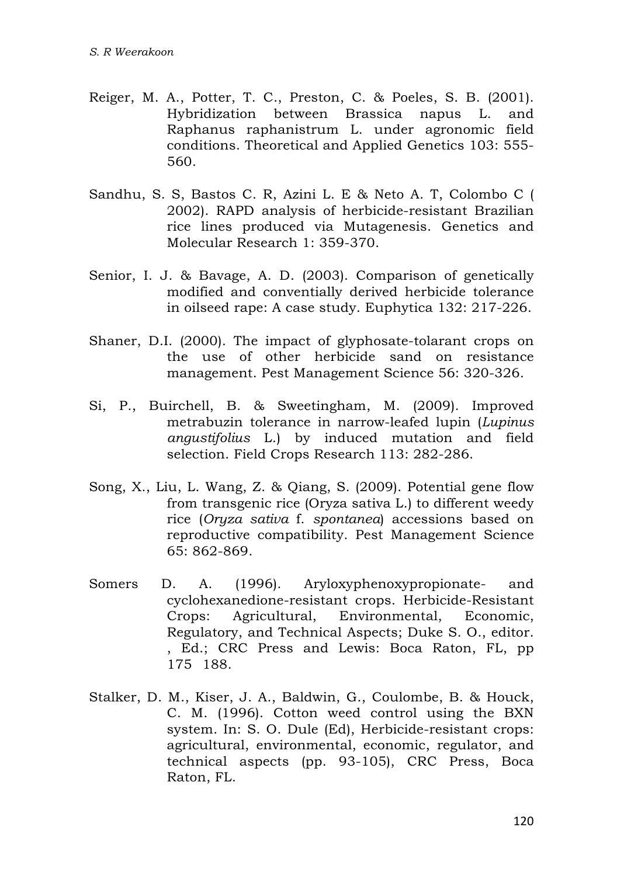- Reiger, M. A., Potter, T. C., Preston, C. & Poeles, S. B. (2001). Hybridization between Brassica napus L. and Raphanus raphanistrum L. under agronomic field conditions. Theoretical and Applied Genetics 103: 555- 560.
- Sandhu, S. S, Bastos C. R, Azini L. E & Neto A. T, Colombo C ( 2002). RAPD analysis of herbicide-resistant Brazilian rice lines produced via Mutagenesis. Genetics and Molecular Research 1: 359-370.
- Senior, I. J. & Bavage, A. D. (2003). Comparison of genetically modified and conventially derived herbicide tolerance in oilseed rape: A case study. Euphytica 132: 217-226.
- Shaner, D.I. (2000). The impact of glyphosate-tolarant crops on the use of other herbicide sand on resistance management. Pest Management Science 56: 320-326.
- Si, P., Buirchell, B. & Sweetingham, M. (2009). Improved metrabuzin tolerance in narrow-leafed lupin (*Lupinus angustifolius* L.) by induced mutation and field selection. Field Crops Research 113: 282-286.
- Song, X., Liu, L. Wang, Z. & Qiang, S. (2009). Potential gene flow from transgenic rice (Oryza sativa L.) to different weedy rice (*Oryza sativa* f. *spontanea*) accessions based on reproductive compatibility. Pest Management Science 65: 862-869.
- Somers D. A. (1996). Aryloxyphenoxypropionate- and cyclohexanedione-resistant crops. Herbicide-Resistant Crops: Agricultural, Environmental, Economic, Regulatory, and Technical Aspects; Duke S. O., editor. , Ed.; CRC Press and Lewis: Boca Raton, FL, pp 175188.
- Stalker, D. M., Kiser, J. A., Baldwin, G., Coulombe, B. & Houck, C. M. (1996). Cotton weed control using the BXN system. In: S. O. Dule (Ed), Herbicide-resistant crops: agricultural, environmental, economic, regulator, and technical aspects (pp. 93-105), CRC Press, Boca Raton, FL.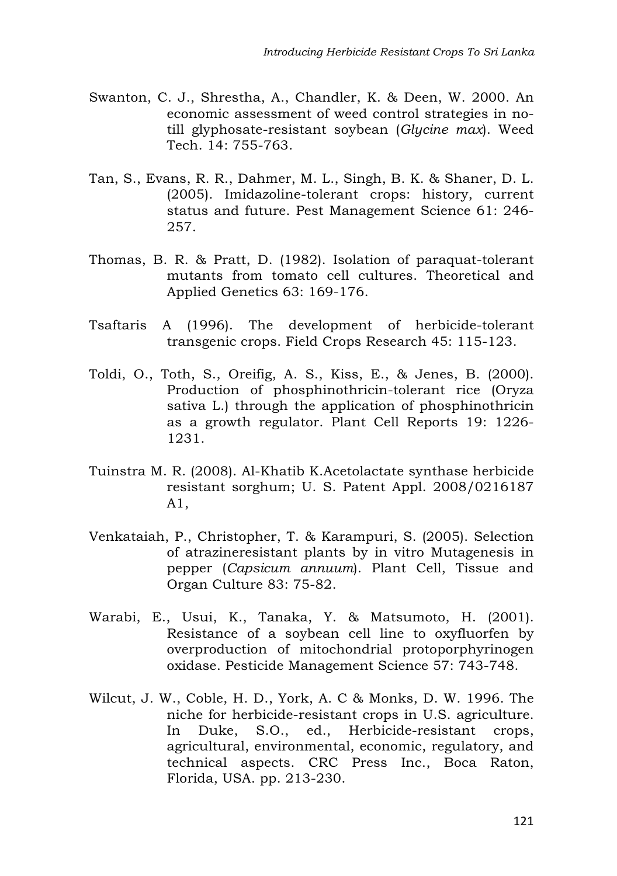- Swanton, C. J., Shrestha, A., Chandler, K. & Deen, W. 2000. An economic assessment of weed control strategies in notill glyphosate-resistant soybean (*Glycine max*). Weed Tech. 14: 755-763.
- Tan, S., Evans, R. R., Dahmer, M. L., Singh, B. K. & Shaner, D. L. (2005). Imidazoline-tolerant crops: history, current status and future. Pest Management Science 61: 246- 257.
- Thomas, B. R. & Pratt, D. (1982). Isolation of paraquat-tolerant mutants from tomato cell cultures. Theoretical and Applied Genetics 63: 169-176.
- Tsaftaris A (1996). The development of herbicide-tolerant transgenic crops. Field Crops Research 45: 115-123.
- Toldi, O., Toth, S., Oreifig, A. S., Kiss, E., & Jenes, B. (2000). Production of phosphinothricin-tolerant rice (Oryza sativa L.) through the application of phosphinothricin as a growth regulator. Plant Cell Reports 19: 1226- 1231.
- Tuinstra M. R. (2008). Al-Khatib K.Acetolactate synthase herbicide resistant sorghum; U. S. Patent Appl. 2008/0216187 A1,
- Venkataiah, P., Christopher, T. & Karampuri, S. (2005). Selection of atrazineresistant plants by in vitro Mutagenesis in pepper (*Capsicum annuum*). Plant Cell, Tissue and Organ Culture 83: 75-82.
- Warabi, E., Usui, K., Tanaka, Y. & Matsumoto, H. (2001). Resistance of a soybean cell line to oxyfluorfen by overproduction of mitochondrial protoporphyrinogen oxidase. Pesticide Management Science 57: 743-748.
- Wilcut, J. W., Coble, H. D., York, A. C & Monks, D. W. 1996. The niche for herbicide-resistant crops in U.S. agriculture. In Duke, S.O., ed., Herbicide-resistant crops, agricultural, environmental, economic, regulatory, and technical aspects. CRC Press Inc., Boca Raton, Florida, USA. pp. 213-230.